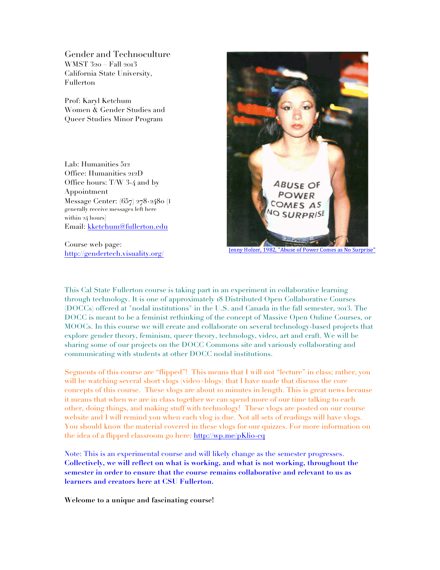Gender and Technoculture WMST 320 – Fall 2013 California State University, Fullerton

Prof: Karyl Ketchum Women & Gender Studies and Queer Studies Minor Program

Lab: Humanities 512 Office: Humanities 212D Office hours: T/W 3-4 and by Appointment Message Center: (657) 278-2480 (I generally receive messages left here within 24 hours) Email: kketchum@fullerton.edu

Course web page: http://gendertech.visuality.org/



Jenny Holzer, 1982, "Abuse of Power Comes as No Surprise

This Cal State Fullerton course is taking part in an experiment in collaborative learning through technology. It is one of approximately 18 Distributed Open Collaborative Courses (DOCCs) offered at "nodal institutions" in the U.S. and Canada in the fall semester, 2013. The DOCC is meant to be a feminist rethinking of the concept of Massive Open Online Courses, or MOOCs. In this course we will create and collaborate on several technology-based projects that explore gender theory, feminism, queer theory, technology, video, art and craft. We will be sharing some of our projects on the DOCC Commons site and variously collaborating and communicating with students at other DOCC nodal institutions.

Segments of this course are "flipped"! This means that I will not "lecture" in class; rather, you will be watching several short vlogs (video+blogs) that I have made that discuss the core concepts of this course. These vlogs are about 10 minutes in length. This is great news because it means that when we are in class together we can spend more of our time talking to each other, doing things, and making stuff with technology! These vlogs are posted on our course website and I will remind you when each vlog is due. Not all sets of readings will have vlogs. You should know the material covered in these vlogs for our quizzes. For more information on the idea of a flipped classroom go here: http://wp.me/pKlio-cq

Note: This is an experimental course and will likely change as the semester progresses. **Collectively, we will reflect on what is working, and what is not working, throughout the semester in order to ensure that the course remains collaborative and relevant to us as learners and creators here at CSU Fullerton.**

**Welcome to a unique and fascinating course!**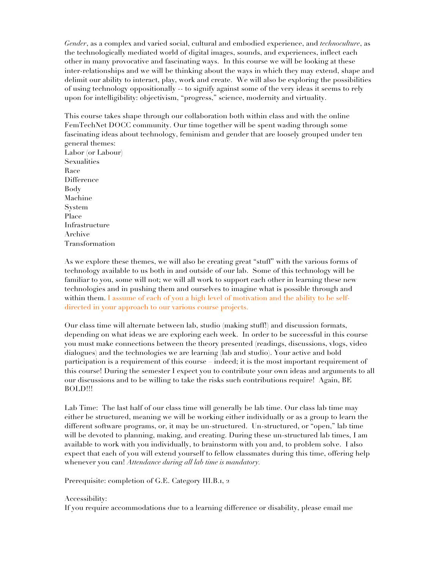*Gender*, as a complex and varied social, cultural and embodied experience, and *technoculture*, as the technologically mediated world of digital images, sounds, and experiences, inflect each other in many provocative and fascinating ways. In this course we will be looking at these inter-relationships and we will be thinking about the ways in which they may extend, shape and delimit our ability to interact, play, work and create. We will also be exploring the possibilities of using technology oppositionally -- to signify against some of the very ideas it seems to rely upon for intelligibility: objectivism, "progress," science, modernity and virtuality.

This course takes shape through our collaboration both within class and with the online FemTechNet DOCC community. Our time together will be spent wading through some fascinating ideas about technology, feminism and gender that are loosely grouped under ten general themes: Labor (or Labour) Sexualities Race Difference Body Machine System Place Infrastructure

Archive Transformation

As we explore these themes, we will also be creating great "stuff" with the various forms of technology available to us both in and outside of our lab. Some of this technology will be familiar to you, some will not; we will all work to support each other in learning these new technologies and in pushing them and ourselves to imagine what is possible through and within them. I assume of each of you a high level of motivation and the ability to be selfdirected in your approach to our various course projects.

Our class time will alternate between lab, studio (making stuff!) and discussion formats, depending on what ideas we are exploring each week. In order to be successful in this course you must make connections between the theory presented (readings, discussions, vlogs, video dialogues) and the technologies we are learning (lab and studio). Your active and bold participation is a requirement of this course – indeed; it is the most important requirement of this course! During the semester I expect you to contribute your own ideas and arguments to all our discussions and to be willing to take the risks such contributions require! Again, BE BOLD!!!

Lab Time: The last half of our class time will generally be lab time. Our class lab time may either be structured, meaning we will be working either individually or as a group to learn the different software programs, or, it may be un-structured. Un-structured, or "open," lab time will be devoted to planning, making, and creating. During these un-structured lab times, I am available to work with you individually, to brainstorm with you and, to problem solve. I also expect that each of you will extend yourself to fellow classmates during this time, offering help whenever you can! *Attendance during all lab time is mandatory.*

Prerequisite: completion of G.E. Category III.B.1, 2

## Accessibility:

If you require accommodations due to a learning difference or disability, please email me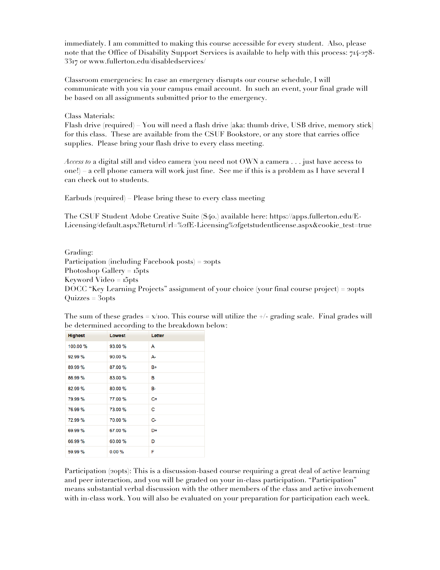immediately. I am committed to making this course accessible for every student. Also, please note that the Office of Disability Support Services is available to help with this process: 714-278- 3317 or www.fullerton.edu/disabledservices/

Classroom emergencies: In case an emergency disrupts our course schedule, I will communicate with you via your campus email account. In such an event, your final grade will be based on all assignments submitted prior to the emergency.

Class Materials:

Flash drive (required) – You will need a flash drive [aka: thumb drive, USB drive, memory stick] for this class. These are available from the CSUF Bookstore, or any store that carries office supplies. Please bring your flash drive to every class meeting.

*Access to* a digital still and video camera (you need not OWN a camera . . . just have access to one!) – a cell phone camera will work just fine. See me if this is a problem as I have several I can check out to students.

Earbuds (required) – Please bring these to every class meeting

The CSUF Student Adobe Creative Suite (\$40.) available here: https://apps.fullerton.edu/E-Licensing/default.aspx?ReturnUrl=%2fE-Licensing%2fgetstudentlicense.aspx&cookie\_test=true

Grading: Participation (including Facebook posts) = 20pts Photoshop Gallery = 15pts Keyword Video = 15pts DOCC "Key Learning Projects" assignment of your choice (your final course project) = 20pts Quizzes = 30pts

| <b>Highest</b> | Lowest  | Letter |
|----------------|---------|--------|
| 100.00 %       | 93.00 % | A      |
| 92.99 %        | 90.00 % | А-     |
| 89.99 %        | 87.00 % | $B+$   |
| 86.99 %        | 83.00 % | в      |
| 82.99 %        | 80.00 % | в-     |
| 79.99 %        | 77.00 % | $C+$   |
| 76.99 %        | 73.00 % | c      |
| 72.99 %        | 70.00 % | C-     |
| 69.99 %        | 67.00 % | D+     |
| 66.99 %        | 60.00 % | D      |
| 59.99 %        | 0.00%   | F      |

The sum of these grades  $= x/100$ . This course will utilize the  $+/-$  grading scale. Final grades will be determined according to the breakdown below:

Participation (20pts): This is a discussion-based course requiring a great deal of active learning and peer interaction, and you will be graded on your in-class participation. "Participation" means substantial verbal discussion with the other members of the class and active involvement with in-class work. You will also be evaluated on your preparation for participation each week.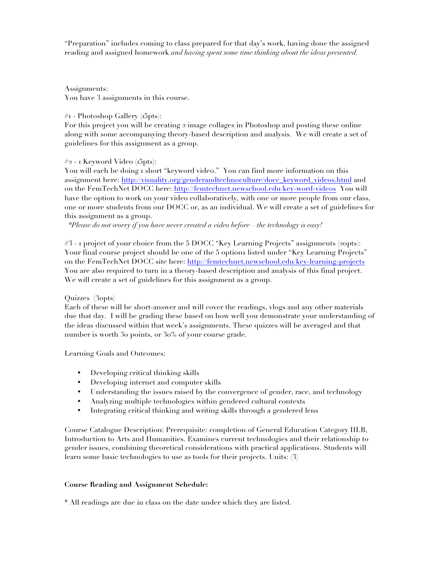"Preparation" includes coming to class prepared for that day's work, having done the assigned reading and assigned homework *and having spent some time thinking about the ideas presented.* 

Assignments: You have 3 assignments in this course.

## #1 - Photoshop Gallery (15pts):

For this project you will be creating 2 image collages in Photoshop and posting these online along with some accompanying theory-based description and analysis. We will create a set of guidelines for this assignment as a group.

## #2 - 1 Keyword Video (15pts):

You will each be doing I short "keyword video." You can find more information on this assignment here: http://visuality.org/genderandtechnoculture/docc\_keyword\_videos.html and on the FemTechNet DOCC here: http://femtechnet.newschool.edu/key-word-videos You will have the option to work on your video collaboratively, with one or more people from our class, one or more students from our DOCC or, as an individual. We will create a set of guidelines for this assignment as a group.

*\*Please do not worry if you have never created a video before—the technology is easy!* 

#3 - 1 project of your choice from the 5 DOCC "Key Learning Projects" assignments (20pts): Your final course project should be one of the 5 options listed under "Key Learning Projects" on the FemTechNet DOCC site here: http://femtechnet.newschool.edu/key-learning-projects You are also required to turn in a theory-based description and analysis of this final project. We will create a set of guidelines for this assignment as a group.

# Quizzes (30pts)

Each of these will be short-answer and will cover the readings, vlogs and any other materials due that day. I will be grading these based on how well you demonstrate your understanding of the ideas discussed within that week's assignments. These quizzes will be averaged and that number is worth 30 points, or 30% of your course grade.

Learning Goals and Outcomes:

- Developing critical thinking skills
- Developing internet and computer skills
- Understanding the issues raised by the convergence of gender, race, and technology
- Analyzing multiple technologies within gendered cultural contexts
- Integrating critical thinking and writing skills through a gendered lens

Course Catalogue Description: Prerequisite: completion of General Education Category III.B, Introduction to Arts and Humanities. Examines current technologies and their relationship to gender issues, combining theoretical considerations with practical applications. Students will learn some basic technologies to use as tools for their projects. Units: (3)

## **Course Reading and Assignment Schedule:**

\* All readings are due in class on the date under which they are listed.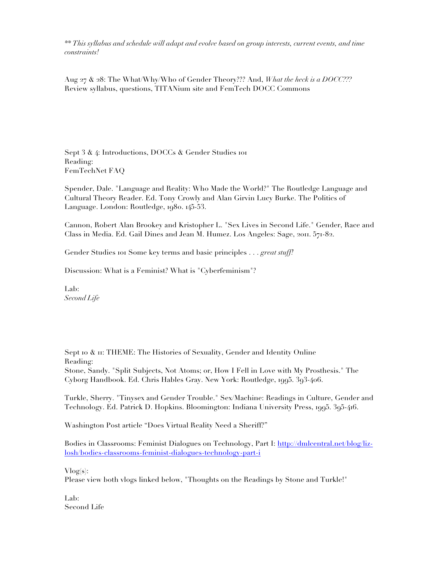*\*\* This syllabus and schedule will adapt and evolve based on group interests, current events, and time constraints!*

Aug 27 & 28: The What/Why/Who of Gender Theory??? And, *What the heck is a DOCC???* Review syllabus, questions, TITANium site and FemTech DOCC Commons

Sept 3 & 4: Introductions, DOCCs & Gender Studies 101 Reading: FemTechNet FAQ

Spender, Dale. "Language and Reality: Who Made the World?" The Routledge Language and Cultural Theory Reader. Ed. Tony Crowly and Alan Girvin Lucy Burke. The Politics of Language. London: Routledge, 1980. 145-53.

Cannon, Robert Alan Brookey and Kristopher L. "Sex Lives in Second Life." Gender, Race and Class in Media. Ed. Gail Dines and Jean M. Humez. Los Angeles: Sage, 2011. 571-82.

Gender Studies 101 Some key terms and basic principles . . . *great stuff!*

Discussion: What is a Feminist? What is "Cyberfeminism"?

Lab: *Second Life*

Sept 10  $\&$  11: THEME: The Histories of Sexuality, Gender and Identity Online Reading: Stone, Sandy. "Split Subjects, Not Atoms; or, How I Fell in Love with My Prosthesis." The Cyborg Handbook. Ed. Chris Hables Gray. New York: Routledge, 1995. 393-406.

Turkle, Sherry. "Tinysex and Gender Trouble." Sex/Machine: Readings in Culture, Gender and Technology. Ed. Patrick D. Hopkins. Bloomington: Indiana University Press, 1995. 395-416.

Washington Post article "Does Virtual Reality Need a Sheriff?"

Bodies in Classrooms: Feminist Dialogues on Technology, Part I: http://dmlcentral.net/blog/lizlosh/bodies-classrooms-feminist-dialogues-technology-part-i

 $Vlog(s)$ :

Please view both vlogs linked below, "Thoughts on the Readings by Stone and Turkle!"

Lab: Second Life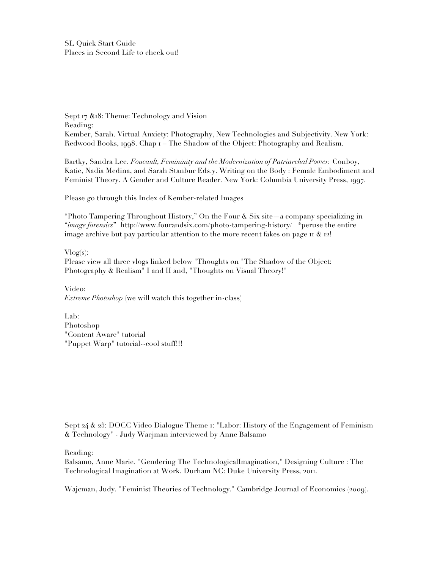SL Quick Start Guide Places in Second Life to check out!

Sept 17  $\&$ 18: Theme: Technology and Vision Reading: Kember, Sarah. Virtual Anxiety: Photography, New Technologies and Subjectivity. New York: Redwood Books, 1998. Chap 1 – The Shadow of the Object: Photography and Realism.

Bartky, Sandra Lee. *Foucault, Femininity and the Modernization of Patriarchal Power.* Conboy, Katie, Nadia Medina, and Sarah Stanbur Eds.y. Writing on the Body : Female Embodiment and Feminist Theory. A Gender and Culture Reader. New York: Columbia University Press, 1997.

Please go through this Index of Kember-related Images

"Photo Tampering Throughout History," On the Four  $\&$  Six site—a company specializing in "*image forensics*" http://www.fourandsix.com/photo-tampering-history/ \*peruse the entire image archive but pay particular attention to the more recent fakes on page  $\pi \& 12!$ 

 $Vlog(s)$ : Please view all three vlogs linked below "Thoughts on "The Shadow of the Object: Photography & Realism" I and II and, "Thoughts on Visual Theory!"

Video: *Extreme Photoshop* (we will watch this together in-class)

Lab: Photoshop "Content Aware" tutorial "Puppet Warp" tutorial--cool stuff!!!

Sept 24 & 25: DOCC Video Dialogue Theme 1: "Labor: History of the Engagement of Feminism & Technology" - Judy Wacjman interviewed by Anne Balsamo

Reading:

Balsamo, Anne Marie. "Gendering The TechnologicalImagination," Designing Culture : The Technological Imagination at Work. Durham NC: Duke University Press, 2011.

Wajcman, Judy. "Feminist Theories of Technology." Cambridge Journal of Economics (2009).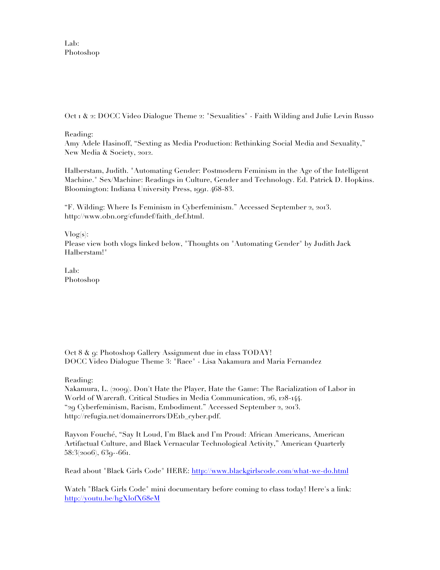Lab: Photoshop

Oct 1 & 2: DOCC Video Dialogue Theme 2: "Sexualities" - Faith Wilding and Julie Levin Russo

Reading:

Amy Adele Hasinoff, "Sexting as Media Production: Rethinking Social Media and Sexuality," New Media & Society, 2012.

Halberstam, Judith. "Automating Gender: Postmodern Feminism in the Age of the Intelligent Machine." Sex/Machine: Readings in Culture, Gender and Technology. Ed. Patrick D. Hopkins. Bloomington: Indiana University Press, 1991. 468-83.

"F. Wilding: Where Is Feminism in Cyberfeminism." Accessed September 2, 2013. http://www.obn.org/cfundef/faith\_def.html.

 $Vlog(s)$ :

Please view both vlogs linked below, "Thoughts on "Automating Gender" by Judith Jack Halberstam!"

Lab: Photoshop

Oct 8 & 9: Photoshop Gallery Assignment due in class TODAY! DOCC Video Dialogue Theme 3: "Race" - Lisa Nakamura and Maria Fernandez

Reading:

Nakamura, L. (2009). Don't Hate the Player, Hate the Game: The Racialization of Labor in World of Warcraft. Critical Studies in Media Communication, 26, 128-144. "29 Cyberfeminism, Racism, Embodiment." Accessed September 2, 2013. http://refugia.net/domainerrors/DE1b\_cyber.pdf.

Rayvon Fouché, "Say It Loud, I'm Black and I'm Proud: African Americans, American Artifactual Culture, and Black Vernacular Technological Activity," American Quarterly 58:3(2006), 639--661.

Read about "Black Girls Code" HERE: http://www.blackgirlscode.com/what-we-do.html

Watch "Black Girls Code" mini documentary before coming to class today! Here's a link: http://youtu.be/hgXlofX68eM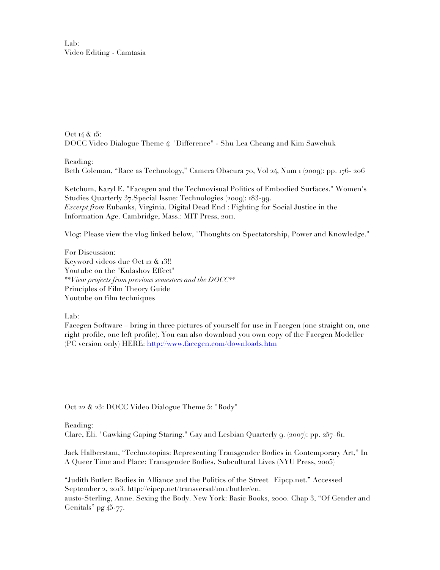Lab: Video Editing - Camtasia

Oct 14 & 15: DOCC Video Dialogue Theme 4: "Difference" - Shu Lea Cheang and Kim Sawchuk

Reading: Beth Coleman, "Race as Technology," Camera Obscura 70, Vol 24, Num 1 (2009): pp. 176- 206

Ketchum, Karyl E. "Facegen and the Technovisual Politics of Embodied Surfaces." Women's Studies Quarterly 37.Special Issue: Technologies (2009): 183-99. *Excerpt from* Eubanks, Virginia. Digital Dead End : Fighting for Social Justice in the Information Age. Cambridge, Mass.: MIT Press, 2011.

Vlog: Please view the vlog linked below, "Thoughts on Spectatorship, Power and Knowledge."

For Discussion: Keyword videos due Oct 12 & 13!! Youtube on the "Kulashov Effect" *\*\*View projects from previous semesters and the DOCC\*\** Principles of Film Theory Guide Youtube on film techniques

Lab:

Facegen Software – bring in three pictures of yourself for use in Facegen (one straight on, one right profile, one left profile). You can also download you own copy of the Facegen Modeller (PC version only) HERE: http://www.facegen.com/downloads.htm

Oct 22 & 23: DOCC Video Dialogue Theme 5: "Body"

Reading: Clare, Eli. "Gawking Gaping Staring." Gay and Lesbian Quarterly 9. (2007): pp. 257–61.

Jack Halberstam, "Technotopias: Representing Transgender Bodies in Contemporary Art," In A Queer Time and Place: Transgender Bodies, Subcultural Lives (NYU Press, 2005)

"Judith Butler: Bodies in Alliance and the Politics of the Street | Eipcp.net." Accessed September 2, 2013. http://eipcp.net/transversal/1011/butler/en.

austo-Sterling, Anne. Sexing the Body. New York: Basic Books, 2000. Chap 3, "Of Gender and Genitals" pg 45-77.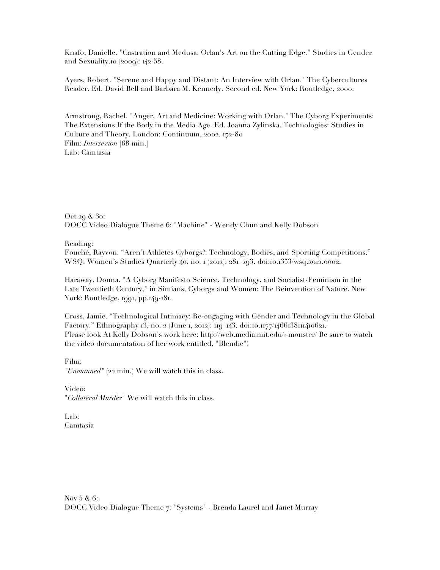Knafo, Danielle. "Castration and Medusa: Orlan's Art on the Cutting Edge." Studies in Gender and Sexuality.10 (2009): 142-58.

Ayers, Robert. "Serene and Happy and Distant: An Interview with Orlan." The Cybercultures Reader. Ed. David Bell and Barbara M. Kennedy. Second ed. New York: Routledge, 2000.

Armstrong, Rachel. "Anger, Art and Medicine: Working with Orlan." The Cyborg Experiments: The Extensions If the Body in the Media Age. Ed. Joanna Zylinska. Technologies: Studies in Culture and Theory. London: Continuum, 2002. 172-80 Film: *Intersexion* [68 min.] Lab: Camtasia

Oct 29 & 30: DOCC Video Dialogue Theme 6: "Machine" - Wendy Chun and Kelly Dobson

Reading:

Fouché, Rayvon. "Aren't Athletes Cyborgs?: Technology, Bodies, and Sporting Competitions." WSQ: Women's Studies Quarterly 40, no. 1 (2012): 281–293. doi:10.1353/wsq.2012.0002.

Haraway, Donna. "A Cyborg Manifesto Science, Technology, and Socialist-Feminism in the Late Twentieth Century," in Simians, Cyborgs and Women: The Reinvention of Nature. New York: Routledge, 1991, pp.149-181.

Cross, Jamie. "Technological Intimacy: Re-engaging with Gender and Technology in the Global Factory." Ethnography 13, no. 2 (June 1, 2012): 119–143. doi:10.1177/1466138111410621. Please look At Kelly Dobson's work here: http://web.media.mit.edu/~monster/ Be sure to watch the video documentation of her work entitled, "Blendie"!

Film: *"Unmanned"* (22 min.) We will watch this in class.

Video: "*Collateral Murde*r" We will watch this in class.

Lab: Camtasia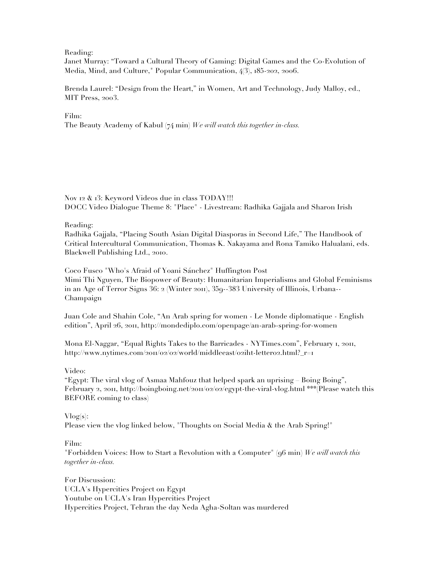Reading:

Janet Murray: "Toward a Cultural Theory of Gaming: Digital Games and the Co-Evolution of Media, Mind, and Culture," Popular Communication, 4(3), 185-202, 2006.

Brenda Laurel: "Design from the Heart," in Women, Art and Technology, Judy Malloy, ed., MIT Press, 2003.

Film: The Beauty Academy of Kabul (74 min) *We will watch this together in-class.*

Nov 12 & 13: Keyword Videos due in class TODAY!!! DOCC Video Dialogue Theme 8: "Place" - Livestream: Radhika Gajjala and Sharon Irish

Reading:

Radhika Gajjala, "Placing South Asian Digital Diasporas in Second Life," The Handbook of Critical Intercultural Communication, Thomas K. Nakayama and Rona Tamiko Halualani, eds. Blackwell Publishing Ltd., 2010.

Coco Fusco "Who's Afraid of Yoani Sánchez" Huffington Post Mimi Thi Nguyen, The Biopower of Beauty: Humanitarian Imperialisms and Global Feminisms in an Age of Terror Signs 36: 2 (Winter 2011), 359--383 University of Illinois, Urbana-- Champaign

Juan Cole and Shahin Cole, "An Arab spring for women - Le Monde diplomatique - English edition", April 26, 2011, http://mondediplo.com/openpage/an-arab-spring-for-women

Mona El-Naggar, "Equal Rights Takes to the Barricades - NYTimes.com", February 1, 2011, http://www.nytimes.com/2011/02/02/world/middleeast/02iht-letter02.html?\_r=1

Video:

"Egypt: The viral vlog of Asmaa Mahfouz that helped spark an uprising – Boing Boing", February 2, 2011, http://boingboing.net/2011/02/02/egypt-the-viral-vlog.html \*\*\*(Please watch this BEFORE coming to class)

## $Vlog(s)$ :

Please view the vlog linked below, "Thoughts on Social Media & the Arab Spring!"

Film:

"Forbidden Voices: How to Start a Revolution with a Computer" (96 min) *We will watch this together in-class.*

For Discussion: UCLA's Hypercities Project on Egypt Youtube on UCLA's Iran Hypercities Project Hypercities Project, Tehran the day Neda Agha-Soltan was murdered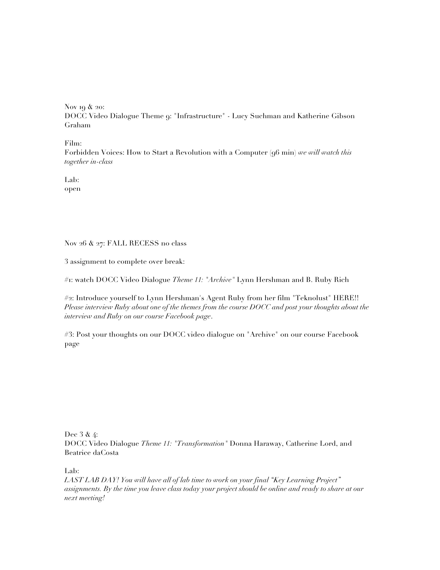Nov 19 & 20: DOCC Video Dialogue Theme 9: "Infrastructure" - Lucy Suchman and Katherine Gibson Graham

Film:

Forbidden Voices: How to Start a Revolution with a Computer (96 min) *we will watch this together in-class*

Lab: open

Nov 26 & 27: FALL RECESS no class

3 assignment to complete over break:

#1: watch DOCC Video Dialogue *Theme 11: "Archive"* Lynn Hershman and B. Ruby Rich

#2: Introduce yourself to Lynn Hershman's Agent Ruby from her film "Teknolust" HERE!! *Please interview Ruby about one of the themes from the course DOCC and post your thoughts about the interview and Ruby on our course Facebook page*.

#3: Post your thoughts on our DOCC video dialogue on "Archive" on our course Facebook page

Dec 3 & 4:

DOCC Video Dialogue *Theme 11: "Transformation"* Donna Haraway, Catherine Lord, and Beatrice daCosta

Lab:

*LAST LAB DAY! You will have all of lab time to work on your final "Key Learning Project" assignments. By the time you leave class today your project should be online and ready to share at our next meeting!*